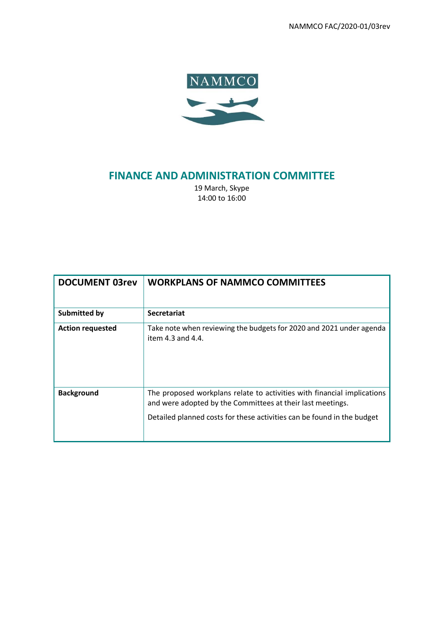NAMMCO FAC/2020-01/03rev



# **FINANCE AND ADMINISTRATION COMMITTEE**

19 March, Skype 14:00 to 16:00

| <b>DOCUMENT 03rev</b>   | <b>WORKPLANS OF NAMMCO COMMITTEES</b>                                                                                                                                                                           |
|-------------------------|-----------------------------------------------------------------------------------------------------------------------------------------------------------------------------------------------------------------|
| Submitted by            | <b>Secretariat</b>                                                                                                                                                                                              |
| <b>Action requested</b> | Take note when reviewing the budgets for 2020 and 2021 under agenda<br>item $4.3$ and $4.4$ .                                                                                                                   |
| <b>Background</b>       | The proposed workplans relate to activities with financial implications<br>and were adopted by the Committees at their last meetings.<br>Detailed planned costs for these activities can be found in the budget |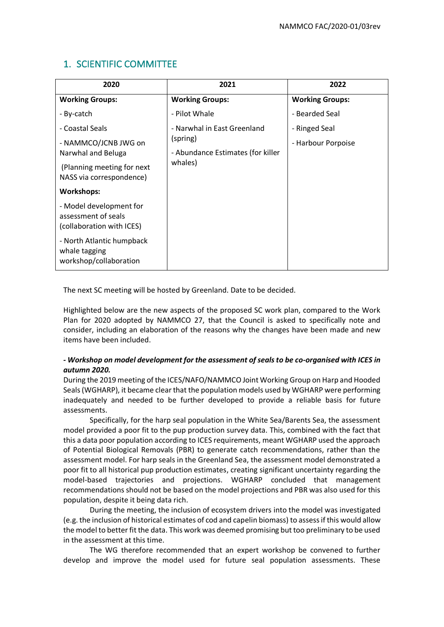## 1. SCIENTIFIC COMMITTEE

| 2020                                                                        | 2021                                                                                    | 2022                   |
|-----------------------------------------------------------------------------|-----------------------------------------------------------------------------------------|------------------------|
| <b>Working Groups:</b>                                                      | <b>Working Groups:</b>                                                                  | <b>Working Groups:</b> |
| - By-catch                                                                  | - Pilot Whale                                                                           | - Bearded Seal         |
| - Coastal Seals                                                             | - Narwhal in East Greenland<br>(spring)<br>- Abundance Estimates (for killer<br>whales) | - Ringed Seal          |
| - NAMMCO/JCNB JWG on<br>Narwhal and Beluga                                  |                                                                                         | - Harbour Porpoise     |
| (Planning meeting for next<br>NASS via correspondence)                      |                                                                                         |                        |
| <b>Workshops:</b>                                                           |                                                                                         |                        |
| - Model development for<br>assessment of seals<br>(collaboration with ICES) |                                                                                         |                        |
| - North Atlantic humpback<br>whale tagging<br>workshop/collaboration        |                                                                                         |                        |

The next SC meeting will be hosted by Greenland. Date to be decided.

Highlighted below are the new aspects of the proposed SC work plan, compared to the Work Plan for 2020 adopted by NAMMCO 27, that the Council is asked to specifically note and consider, including an elaboration of the reasons why the changes have been made and new items have been included.

#### *- Workshop on model development for the assessment of seals to be co-organised with ICES in autumn 2020.*

During the 2019 meeting of the ICES/NAFO/NAMMCO Joint Working Group on Harp and Hooded Seals(WGHARP), it became clear that the population models used by WGHARP were performing inadequately and needed to be further developed to provide a reliable basis for future assessments.

Specifically, for the harp seal population in the White Sea/Barents Sea, the assessment model provided a poor fit to the pup production survey data. This, combined with the fact that this a data poor population according to ICES requirements, meant WGHARP used the approach of Potential Biological Removals (PBR) to generate catch recommendations, rather than the assessment model. For harp seals in the Greenland Sea, the assessment model demonstrated a poor fit to all historical pup production estimates, creating significant uncertainty regarding the model-based trajectories and projections. WGHARP concluded that management recommendations should not be based on the model projections and PBR was also used for this population, despite it being data rich.

During the meeting, the inclusion of ecosystem drivers into the model was investigated (e.g. the inclusion of historical estimates of cod and capelin biomass) to assess if this would allow the model to better fit the data. This work was deemed promising but too preliminary to be used in the assessment at this time.

The WG therefore recommended that an expert workshop be convened to further develop and improve the model used for future seal population assessments. These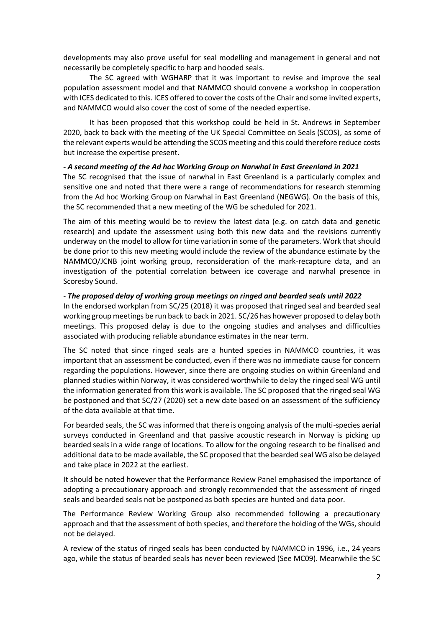developments may also prove useful for seal modelling and management in general and not necessarily be completely specific to harp and hooded seals.

The SC agreed with WGHARP that it was important to revise and improve the seal population assessment model and that NAMMCO should convene a workshop in cooperation with ICES dedicated to this. ICES offered to cover the costs of the Chair and some invited experts, and NAMMCO would also cover the cost of some of the needed expertise.

It has been proposed that this workshop could be held in St. Andrews in September 2020, back to back with the meeting of the UK Special Committee on Seals (SCOS), as some of the relevant experts would be attending the SCOS meeting and this could therefore reduce costs but increase the expertise present.

#### *- A second meeting of the Ad hoc Working Group on Narwhal in East Greenland in 2021*

The SC recognised that the issue of narwhal in East Greenland is a particularly complex and sensitive one and noted that there were a range of recommendations for research stemming from the Ad hoc Working Group on Narwhal in East Greenland (NEGWG). On the basis of this, the SC recommended that a new meeting of the WG be scheduled for 2021.

The aim of this meeting would be to review the latest data (e.g. on catch data and genetic research) and update the assessment using both this new data and the revisions currently underway on the model to allow for time variation in some of the parameters. Work that should be done prior to this new meeting would include the review of the abundance estimate by the NAMMCO/JCNB joint working group, reconsideration of the mark-recapture data, and an investigation of the potential correlation between ice coverage and narwhal presence in Scoresby Sound.

#### *- The proposed delay of working group meetings on ringed and bearded seals until 2022*

In the endorsed workplan from SC/25 (2018) it was proposed that ringed seal and bearded seal working group meetings be run back to back in 2021. SC/26 has however proposed to delay both meetings. This proposed delay is due to the ongoing studies and analyses and difficulties associated with producing reliable abundance estimates in the near term.

The SC noted that since ringed seals are a hunted species in NAMMCO countries, it was important that an assessment be conducted, even if there was no immediate cause for concern regarding the populations. However, since there are ongoing studies on within Greenland and planned studies within Norway, it was considered worthwhile to delay the ringed seal WG until the information generated from this work is available. The SC proposed that the ringed seal WG be postponed and that SC/27 (2020) set a new date based on an assessment of the sufficiency of the data available at that time.

For bearded seals, the SC was informed that there is ongoing analysis of the multi-species aerial surveys conducted in Greenland and that passive acoustic research in Norway is picking up bearded seals in a wide range of locations. To allow for the ongoing research to be finalised and additional data to be made available, the SC proposed that the bearded seal WG also be delayed and take place in 2022 at the earliest.

It should be noted however that the Performance Review Panel emphasised the importance of adopting a precautionary approach and strongly recommended that the assessment of ringed seals and bearded seals not be postponed as both species are hunted and data poor.

The Performance Review Working Group also recommended following a precautionary approach and that the assessment of both species, and therefore the holding of the WGs, should not be delayed.

A review of the status of ringed seals has been conducted by NAMMCO in 1996, i.e., 24 years ago, while the status of bearded seals has never been reviewed (See MC09). Meanwhile the SC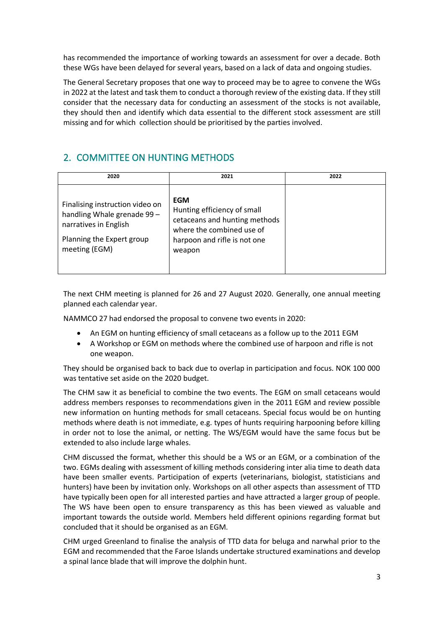has recommended the importance of working towards an assessment for over a decade. Both these WGs have been delayed for several years, based on a lack of data and ongoing studies.

The General Secretary proposes that one way to proceed may be to agree to convene the WGs in 2022 at the latest and task them to conduct a thorough review of the existing data. If they still consider that the necessary data for conducting an assessment of the stocks is not available, they should then and identify which data essential to the different stock assessment are still missing and for which collection should be prioritised by the parties involved.

## 2. COMMITTEE ON HUNTING METHODS

| 2020                                                                                                                                  | 2021                                                                                                                                              | 2022 |
|---------------------------------------------------------------------------------------------------------------------------------------|---------------------------------------------------------------------------------------------------------------------------------------------------|------|
| Finalising instruction video on<br>handling Whale grenade 99 -<br>narratives in English<br>Planning the Expert group<br>meeting (EGM) | <b>EGM</b><br>Hunting efficiency of small<br>cetaceans and hunting methods<br>where the combined use of<br>harpoon and rifle is not one<br>weapon |      |

The next CHM meeting is planned for 26 and 27 August 2020. Generally, one annual meeting planned each calendar year.

NAMMCO 27 had endorsed the proposal to convene two events in 2020:

- An EGM on hunting efficiency of small cetaceans as a follow up to the 2011 EGM
- A Workshop or EGM on methods where the combined use of harpoon and rifle is not one weapon.

They should be organised back to back due to overlap in participation and focus. NOK 100 000 was tentative set aside on the 2020 budget.

The CHM saw it as beneficial to combine the two events. The EGM on small cetaceans would address members responses to recommendations given in the 2011 EGM and review possible new information on hunting methods for small cetaceans. Special focus would be on hunting methods where death is not immediate, e.g. types of hunts requiring harpooning before killing in order not to lose the animal, or netting. The WS/EGM would have the same focus but be extended to also include large whales.

CHM discussed the format, whether this should be a WS or an EGM, or a combination of the two. EGMs dealing with assessment of killing methods considering inter alia time to death data have been smaller events. Participation of experts (veterinarians, biologist, statisticians and hunters) have been by invitation only. Workshops on all other aspects than assessment of TTD have typically been open for all interested parties and have attracted a larger group of people. The WS have been open to ensure transparency as this has been viewed as valuable and important towards the outside world. Members held different opinions regarding format but concluded that it should be organised as an EGM.

CHM urged Greenland to finalise the analysis of TTD data for beluga and narwhal prior to the EGM and recommended that the Faroe Islands undertake structured examinations and develop a spinal lance blade that will improve the dolphin hunt.